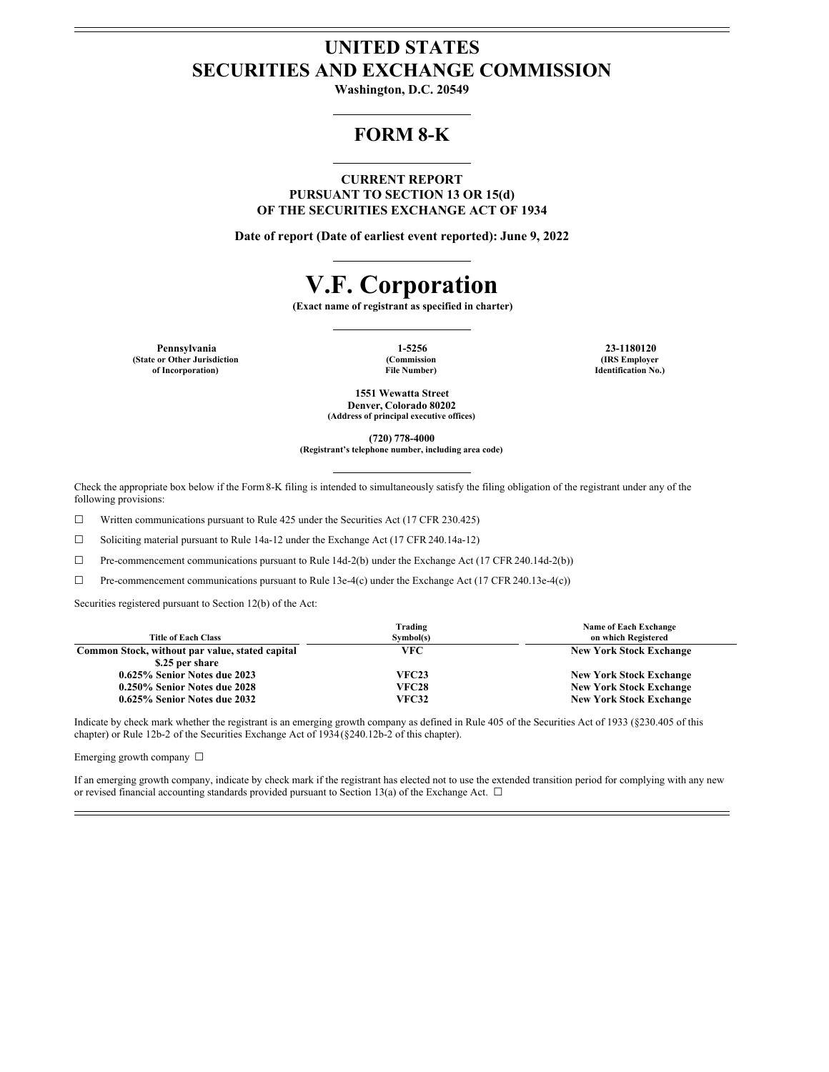# **UNITED STATES SECURITIES AND EXCHANGE COMMISSION**

**Washington, D.C. 20549**

## **FORM 8-K**

**CURRENT REPORT PURSUANT TO SECTION 13 OR 15(d) OF THE SECURITIES EXCHANGE ACT OF 1934**

**Date of report (Date of earliest event reported): June 9, 2022**

# **V.F. Corporation**

**(Exact name of registrant as specified in charter)**

**Pennsylvania 1-5256 23-1180120 (State or Other Jurisdiction of Incorporation)**

**(Commission File Number)**

**(IRS Employer Identification No.)**

**1551 Wewatta Street Denver, Colorado 80202 (Address of principal executive offices)**

**(720) 778-4000**

**(Registrant's telephone number, including area code)**

Check the appropriate box below if the Form8-K filing is intended to simultaneously satisfy the filing obligation of the registrant under any of the following provisions:

☐ Written communications pursuant to Rule 425 under the Securities Act (17 CFR 230.425)

☐ Soliciting material pursuant to Rule 14a-12 under the Exchange Act (17 CFR 240.14a-12)

☐ Pre-commencement communications pursuant to Rule 14d-2(b) under the Exchange Act (17 CFR 240.14d-2(b))

☐ Pre-commencement communications pursuant to Rule 13e-4(c) under the Exchange Act (17 CFR 240.13e-4(c))

Securities registered pursuant to Section 12(b) of the Act:

|                                                 | Trading      | Name of Each Exchange          |
|-------------------------------------------------|--------------|--------------------------------|
| <b>Title of Each Class</b>                      | Symbol(s)    | on which Registered            |
| Common Stock, without par value, stated capital | VFC          | <b>New York Stock Exchange</b> |
| \$.25 per share                                 |              |                                |
| 0.625% Senior Notes due 2023                    | <b>VFC23</b> | <b>New York Stock Exchange</b> |
| 0.250% Senior Notes due 2028                    | <b>VFC28</b> | <b>New York Stock Exchange</b> |
| 0.625% Senior Notes due 2032                    | <b>VFC32</b> | <b>New York Stock Exchange</b> |

Indicate by check mark whether the registrant is an emerging growth company as defined in Rule 405 of the Securities Act of 1933 (§230.405 of this chapter) or Rule 12b-2 of the Securities Exchange Act of 1934(§240.12b-2 of this chapter).

Emerging growth company □

If an emerging growth company, indicate by check mark if the registrant has elected not to use the extended transition period for complying with any new or revised financial accounting standards provided pursuant to Section 13(a) of the Exchange Act.  $\Box$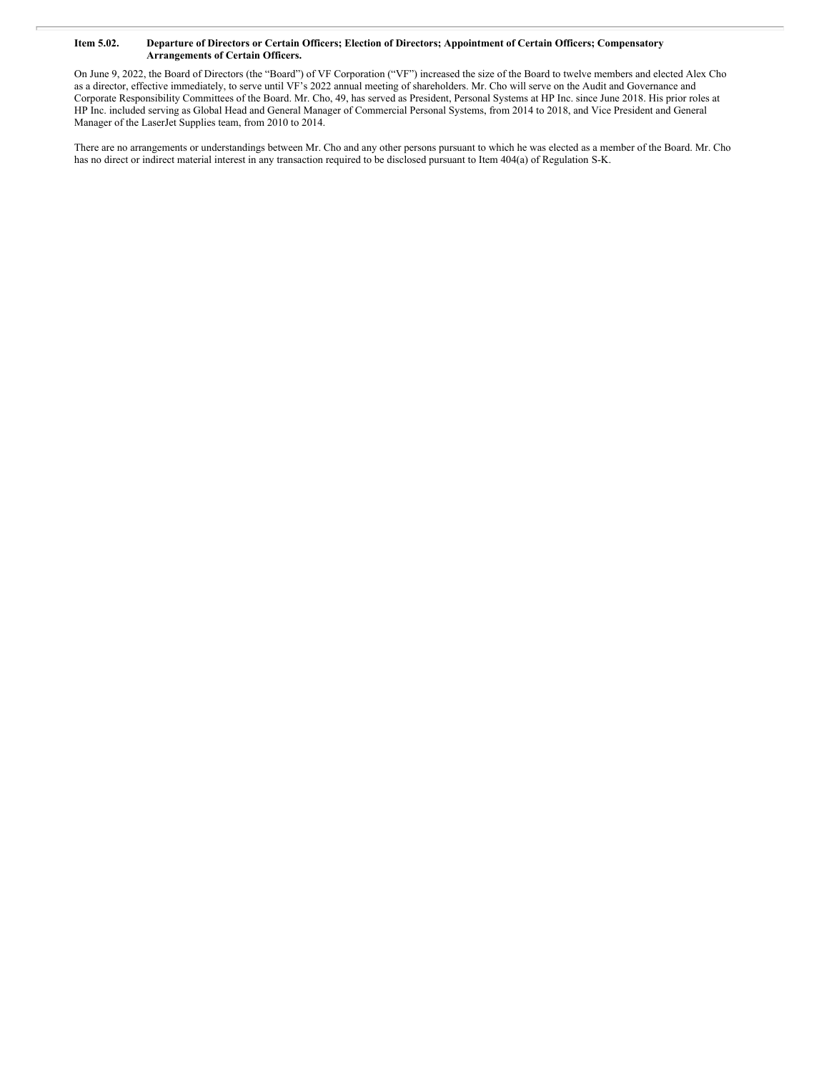#### Item 5.02. Departure of Directors or Certain Officers; Election of Directors; Appointment of Certain Officers; Compensatory **Arrangements of Certain Officers.**

On June 9, 2022, the Board of Directors (the "Board") of VF Corporation ("VF") increased the size of the Board to twelve members and elected Alex Cho as a director, effective immediately, to serve until VF's 2022 annual meeting of shareholders. Mr. Cho will serve on the Audit and Governance and Corporate Responsibility Committees of the Board. Mr. Cho, 49, has served as President, Personal Systems at HP Inc. since June 2018. His prior roles at HP Inc. included serving as Global Head and General Manager of Commercial Personal Systems, from 2014 to 2018, and Vice President and General Manager of the LaserJet Supplies team, from 2010 to 2014.

There are no arrangements or understandings between Mr. Cho and any other persons pursuant to which he was elected as a member of the Board. Mr. Cho has no direct or indirect material interest in any transaction required to be disclosed pursuant to Item 404(a) of Regulation S-K.